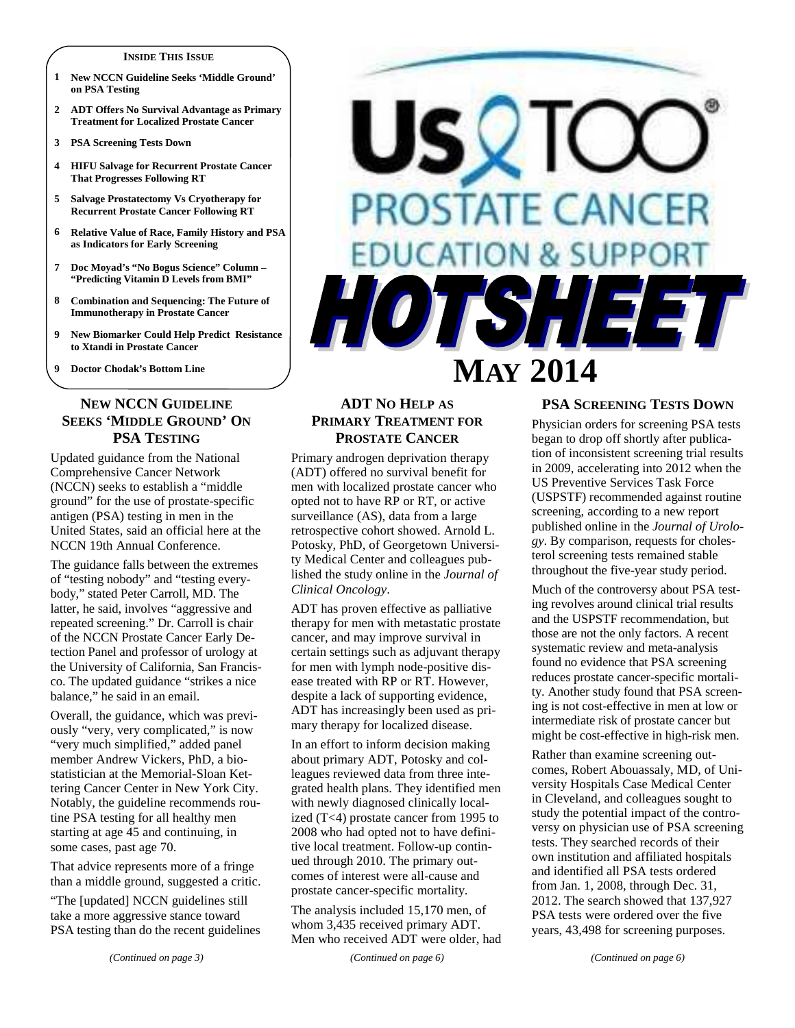#### **INSIDE THIS ISSUE**

- **1 New NCCN Guideline Seeks 'Middle Ground' on PSA Testing**
- **2 ADT Offers No Survival Advantage as Primary Treatment for Localized Prostate Cancer**
- **3 PSA Screening Tests Down**
- **4 HIFU Salvage for Recurrent Prostate Cancer That Progresses Following RT**
- **5 Salvage Prostatectomy Vs Cryotherapy for Recurrent Prostate Cancer Following RT**
- **6 Relative Value of Race, Family History and PSA as Indicators for Early Screening**
- **7 Doc Moyad's "No Bogus Science" Column "Predicting Vitamin D Levels from BMI"**
- **8 Combination and Sequencing: The Future of Immunotherapy in Prostate Cancer**
- **9 New Biomarker Could Help Predict Resistance to Xtandi in Prostate Cancer**
- **9 Doctor Chodak's Bottom Line**

## **NEW NCCN GUIDELINE SEEKS 'MIDDLE GROUND' ON PSA TESTING**

Updated guidance from the National Comprehensive Cancer Network (NCCN) seeks to establish a "middle ground" for the use of prostate-specific antigen (PSA) testing in men in the United States, said an official here at the NCCN 19th Annual Conference.

The guidance falls between the extremes of "testing nobody" and "testing everybody," stated Peter Carroll, MD. The latter, he said, involves "aggressive and repeated screening." Dr. Carroll is chair of the NCCN Prostate Cancer Early Detection Panel and professor of urology at the University of California, San Francisco. The updated guidance "strikes a nice balance," he said in an email.

Overall, the guidance, which was previously "very, very complicated," is now "very much simplified," added panel member Andrew Vickers, PhD, a biostatistician at the Memorial-Sloan Kettering Cancer Center in New York City. Notably, the guideline recommends routine PSA testing for all healthy men starting at age 45 and continuing, in some cases, past age 70.

That advice represents more of a fringe than a middle ground, suggested a critic.

"The [updated] NCCN guidelines still take a more aggressive stance toward PSA testing than do the recent guidelines

# US **PROSTATE CANC DUCATION & SUPPI** A. **MAY 2014**

# **ADT NO HELP AS PRIMARY TREATMENT FOR PROSTATE CANCER**

Primary androgen deprivation therapy (ADT) offered no survival benefit for men with localized prostate cancer who opted not to have RP or RT, or active surveillance (AS), data from a large retrospective cohort showed. Arnold L. Potosky, PhD, of Georgetown University Medical Center and colleagues published the study online in the *Journal of Clinical Oncology*.

ADT has proven effective as palliative therapy for men with metastatic prostate cancer, and may improve survival in certain settings such as adjuvant therapy for men with lymph node-positive disease treated with RP or RT. However, despite a lack of supporting evidence, ADT has increasingly been used as primary therapy for localized disease.

In an effort to inform decision making about primary ADT, Potosky and colleagues reviewed data from three integrated health plans. They identified men with newly diagnosed clinically localized (T<4) prostate cancer from 1995 to 2008 who had opted not to have definitive local treatment. Follow-up continued through 2010. The primary outcomes of interest were all-cause and prostate cancer-specific mortality.

The analysis included 15,170 men, of whom 3,435 received primary ADT. Men who received ADT were older, had

*(Continued on page 6)* 

# **PSA SCREENING TESTS DOWN**

Physician orders for screening PSA tests began to drop off shortly after publication of inconsistent screening trial results in 2009, accelerating into 2012 when the US Preventive Services Task Force (USPSTF) recommended against routine screening, according to a new report published online in the *Journal of Urology*. By comparison, requests for cholesterol screening tests remained stable throughout the five-year study period.

Much of the controversy about PSA testing revolves around clinical trial results and the USPSTF recommendation, but those are not the only factors. A recent systematic review and meta-analysis found no evidence that PSA screening reduces prostate cancer-specific mortality. Another study found that PSA screening is not cost-effective in men at low or intermediate risk of prostate cancer but might be cost-effective in high-risk men.

Rather than examine screening outcomes, Robert Abouassaly, MD, of University Hospitals Case Medical Center in Cleveland, and colleagues sought to study the potential impact of the controversy on physician use of PSA screening tests. They searched records of their own institution and affiliated hospitals and identified all PSA tests ordered from Jan. 1, 2008, through Dec. 31, 2012. The search showed that 137,927 PSA tests were ordered over the five years, 43,498 for screening purposes.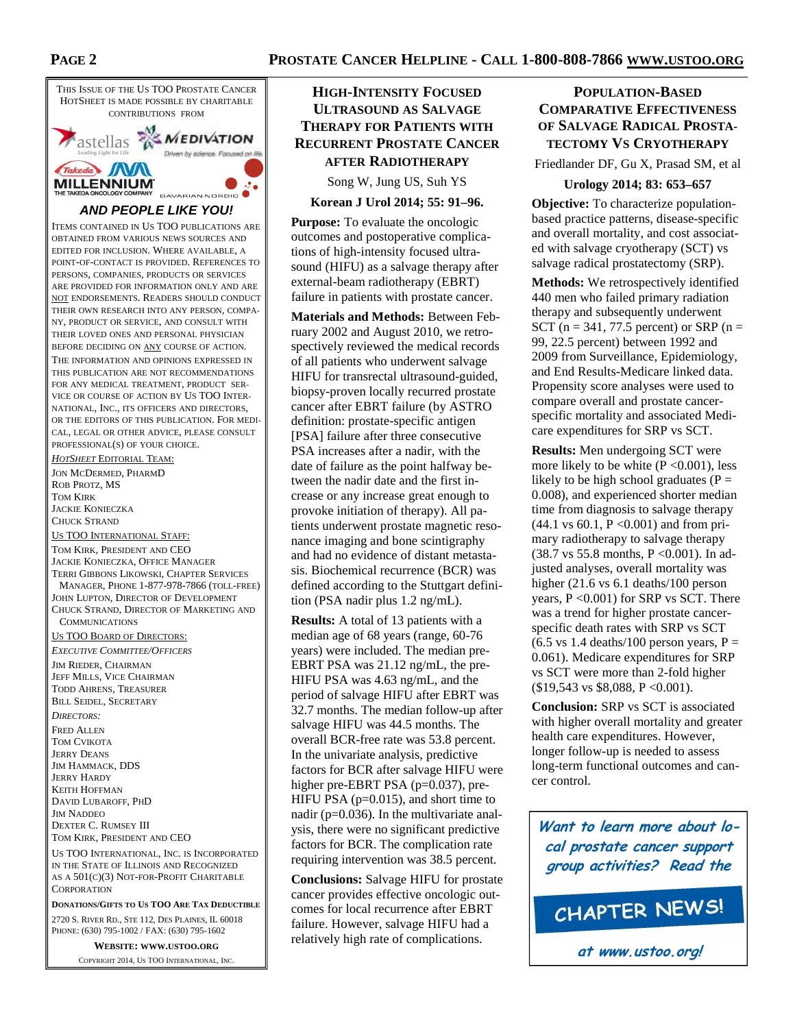

**DONATIONS/GIFTS TO US TOO ARE TAX DEDUCTIBLE**

2720 S. RIVER RD., STE 112, DES PLAINES, IL 60018 PHONE: (630) 795-1002 / FAX: (630) 795-1602

**WEBSITE: WWW.USTOO.ORG**

COPYRIGHT 2014, US TOO INTERNATIONAL, INC.

# **HIGH-INTENSITY FOCUSED ULTRASOUND AS SALVAGE THERAPY FOR PATIENTS WITH RECURRENT PROSTATE CANCER AFTER RADIOTHERAPY**

Song W, Jung US, Suh YS

**Korean J Urol 2014; 55: 91–96.** 

**Purpose:** To evaluate the oncologic outcomes and postoperative complications of high-intensity focused ultrasound (HIFU) as a salvage therapy after external-beam radiotherapy (EBRT) failure in patients with prostate cancer.

**Materials and Methods:** Between February 2002 and August 2010, we retrospectively reviewed the medical records of all patients who underwent salvage HIFU for transrectal ultrasound-guided, biopsy-proven locally recurred prostate cancer after EBRT failure (by ASTRO definition: prostate-specific antigen [PSA] failure after three consecutive PSA increases after a nadir, with the date of failure as the point halfway between the nadir date and the first increase or any increase great enough to provoke initiation of therapy). All patients underwent prostate magnetic resonance imaging and bone scintigraphy and had no evidence of distant metastasis. Biochemical recurrence (BCR) was defined according to the Stuttgart definition (PSA nadir plus 1.2 ng/mL).

**Results:** A total of 13 patients with a median age of 68 years (range, 60-76 years) were included. The median pre-EBRT PSA was 21.12 ng/mL, the pre-HIFU PSA was 4.63 ng/mL, and the period of salvage HIFU after EBRT was 32.7 months. The median follow-up after salvage HIFU was 44.5 months. The overall BCR-free rate was 53.8 percent. In the univariate analysis, predictive factors for BCR after salvage HIFU were higher pre-EBRT PSA (p=0.037), pre-HIFU PSA (p=0.015), and short time to nadir (p=0.036). In the multivariate analysis, there were no significant predictive factors for BCR. The complication rate requiring intervention was 38.5 percent.

**Conclusions:** Salvage HIFU for prostate cancer provides effective oncologic outcomes for local recurrence after EBRT failure. However, salvage HIFU had a relatively high rate of complications.

# **POPULATION-BASED COMPARATIVE EFFECTIVENESS OF SALVAGE RADICAL PROSTA-TECTOMY VS CRYOTHERAPY**

Friedlander DF, Gu X, Prasad SM, et al

## **Urology 2014; 83: 653–657**

**Objective:** To characterize populationbased practice patterns, disease-specific and overall mortality, and cost associated with salvage cryotherapy (SCT) vs salvage radical prostatectomy (SRP).

**Methods:** We retrospectively identified 440 men who failed primary radiation therapy and subsequently underwent SCT ( $n = 341, 77.5$  percent) or SRP ( $n =$ 99, 22.5 percent) between 1992 and 2009 from Surveillance, Epidemiology, and End Results-Medicare linked data. Propensity score analyses were used to compare overall and prostate cancerspecific mortality and associated Medicare expenditures for SRP vs SCT.

**Results:** Men undergoing SCT were more likely to be white  $(P \le 0.001)$ , less likely to be high school graduates ( $P =$ 0.008), and experienced shorter median time from diagnosis to salvage therapy  $(44.1 \text{ vs } 60.1, P < 0.001)$  and from primary radiotherapy to salvage therapy (38.7 vs 55.8 months, P <0.001). In adjusted analyses, overall mortality was higher (21.6 vs 6.1 deaths/100 person years, P <0.001) for SRP vs SCT. There was a trend for higher prostate cancerspecific death rates with SRP vs SCT  $(6.5 \text{ vs } 1.4 \text{ deaths}/100 \text{ person years}, P =$ 0.061). Medicare expenditures for SRP vs SCT were more than 2-fold higher (\$19,543 vs \$8,088, P <0.001).

**Conclusion:** SRP vs SCT is associated with higher overall mortality and greater health care expenditures. However, longer follow-up is needed to assess long-term functional outcomes and cancer control.

**Want to learn more about local prostate cancer support group activities? Read the**

CHAPTER NEWS!

**at www.ustoo.org!**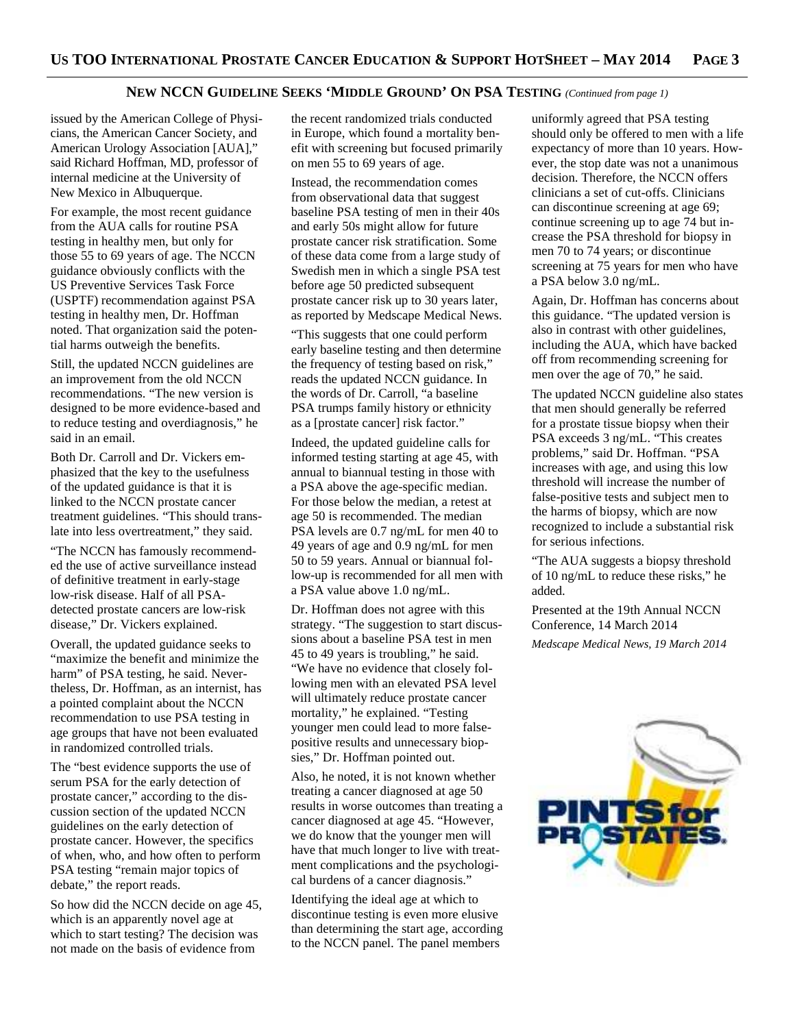## **NEW NCCN GUIDELINE SEEKS 'MIDDLE GROUND' ON PSA TESTING** *(Continued from page 1)*

issued by the American College of Physicians, the American Cancer Society, and American Urology Association [AUA]," said Richard Hoffman, MD, professor of internal medicine at the University of New Mexico in Albuquerque.

For example, the most recent guidance from the AUA calls for routine PSA testing in healthy men, but only for those 55 to 69 years of age. The NCCN guidance obviously conflicts with the US Preventive Services Task Force (USPTF) recommendation against PSA testing in healthy men, Dr. Hoffman noted. That organization said the potential harms outweigh the benefits.

Still, the updated NCCN guidelines are an improvement from the old NCCN recommendations. "The new version is designed to be more evidence-based and to reduce testing and overdiagnosis," he said in an email.

Both Dr. Carroll and Dr. Vickers emphasized that the key to the usefulness of the updated guidance is that it is linked to the NCCN prostate cancer treatment guidelines. "This should translate into less overtreatment," they said.

"The NCCN has famously recommended the use of active surveillance instead of definitive treatment in early-stage low-risk disease. Half of all PSAdetected prostate cancers are low-risk disease," Dr. Vickers explained.

Overall, the updated guidance seeks to "maximize the benefit and minimize the harm" of PSA testing, he said. Nevertheless, Dr. Hoffman, as an internist, has a pointed complaint about the NCCN recommendation to use PSA testing in age groups that have not been evaluated in randomized controlled trials.

The "best evidence supports the use of serum PSA for the early detection of prostate cancer," according to the discussion section of the updated NCCN guidelines on the early detection of prostate cancer. However, the specifics of when, who, and how often to perform PSA testing "remain major topics of debate," the report reads.

So how did the NCCN decide on age 45, which is an apparently novel age at which to start testing? The decision was not made on the basis of evidence from

the recent randomized trials conducted in Europe, which found a mortality benefit with screening but focused primarily on men 55 to 69 years of age.

Instead, the recommendation comes from observational data that suggest baseline PSA testing of men in their 40s and early 50s might allow for future prostate cancer risk stratification. Some of these data come from a large study of Swedish men in which a single PSA test before age 50 predicted subsequent prostate cancer risk up to 30 years later, as reported by Medscape Medical News.

"This suggests that one could perform early baseline testing and then determine the frequency of testing based on risk," reads the updated NCCN guidance. In the words of Dr. Carroll, "a baseline PSA trumps family history or ethnicity as a [prostate cancer] risk factor."

Indeed, the updated guideline calls for informed testing starting at age 45, with annual to biannual testing in those with a PSA above the age-specific median. For those below the median, a retest at age 50 is recommended. The median PSA levels are 0.7 ng/mL for men 40 to 49 years of age and 0.9 ng/mL for men 50 to 59 years. Annual or biannual follow-up is recommended for all men with a PSA value above 1.0 ng/mL.

Dr. Hoffman does not agree with this strategy. "The suggestion to start discussions about a baseline PSA test in men 45 to 49 years is troubling," he said. "We have no evidence that closely following men with an elevated PSA level will ultimately reduce prostate cancer mortality," he explained. "Testing younger men could lead to more falsepositive results and unnecessary biopsies," Dr. Hoffman pointed out.

Also, he noted, it is not known whether treating a cancer diagnosed at age 50 results in worse outcomes than treating a cancer diagnosed at age 45. "However, we do know that the younger men will have that much longer to live with treatment complications and the psychological burdens of a cancer diagnosis."

Identifying the ideal age at which to discontinue testing is even more elusive than determining the start age, according to the NCCN panel. The panel members

uniformly agreed that PSA testing should only be offered to men with a life expectancy of more than 10 years. However, the stop date was not a unanimous decision. Therefore, the NCCN offers clinicians a set of cut-offs. Clinicians can discontinue screening at age 69; continue screening up to age 74 but increase the PSA threshold for biopsy in men 70 to 74 years; or discontinue screening at 75 years for men who have a PSA below 3.0 ng/mL.

Again, Dr. Hoffman has concerns about this guidance. "The updated version is also in contrast with other guidelines, including the AUA, which have backed off from recommending screening for men over the age of 70," he said.

The updated NCCN guideline also states that men should generally be referred for a prostate tissue biopsy when their PSA exceeds 3 ng/mL. "This creates problems," said Dr. Hoffman. "PSA increases with age, and using this low threshold will increase the number of false-positive tests and subject men to the harms of biopsy, which are now recognized to include a substantial risk for serious infections.

"The AUA suggests a biopsy threshold of 10 ng/mL to reduce these risks," he added.

Presented at the 19th Annual NCCN Conference, 14 March 2014 *Medscape Medical News, 19 March 2014* 

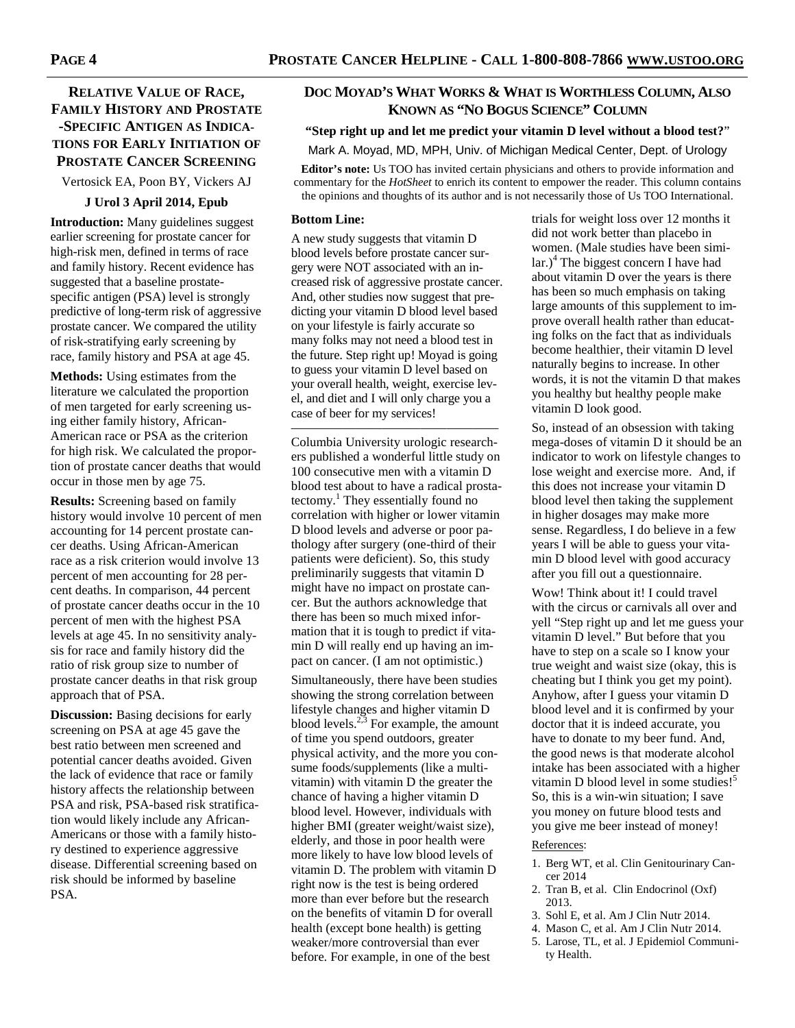# **RELATIVE VALUE OF RACE, FAMILY HISTORY AND PROSTATE -SPECIFIC ANTIGEN AS INDICA-TIONS FOR EARLY INITIATION OF PROSTATE CANCER SCREENING**

Vertosick EA, Poon BY, Vickers AJ

## **J Urol 3 April 2014, Epub**

**Introduction:** Many guidelines suggest earlier screening for prostate cancer for high-risk men, defined in terms of race and family history. Recent evidence has suggested that a baseline prostatespecific antigen (PSA) level is strongly predictive of long-term risk of aggressive prostate cancer. We compared the utility of risk-stratifying early screening by race, family history and PSA at age 45.

**Methods:** Using estimates from the literature we calculated the proportion of men targeted for early screening using either family history, African-American race or PSA as the criterion for high risk. We calculated the proportion of prostate cancer deaths that would occur in those men by age 75.

**Results:** Screening based on family history would involve 10 percent of men accounting for 14 percent prostate cancer deaths. Using African-American race as a risk criterion would involve 13 percent of men accounting for 28 percent deaths. In comparison, 44 percent of prostate cancer deaths occur in the 10 percent of men with the highest PSA levels at age 45. In no sensitivity analysis for race and family history did the ratio of risk group size to number of prostate cancer deaths in that risk group approach that of PSA.

**Discussion:** Basing decisions for early screening on PSA at age 45 gave the best ratio between men screened and potential cancer deaths avoided. Given the lack of evidence that race or family history affects the relationship between PSA and risk, PSA-based risk stratification would likely include any African-Americans or those with a family history destined to experience aggressive disease. Differential screening based on risk should be informed by baseline PSA.

## **DOC MOYAD'S WHAT WORKS & WHAT IS WORTHLESS COLUMN, ALSO KNOWN AS "NO BOGUS SCIENCE" COLUMN**

# **"Step right up and let me predict your vitamin D level without a blood test?**"

Mark A. Moyad, MD, MPH, Univ. of Michigan Medical Center, Dept. of Urology **Editor's note:** Us TOO has invited certain physicians and others to provide information and commentary for the *HotSheet* to enrich its content to empower the reader. This column contains the opinions and thoughts of its author and is not necessarily those of Us TOO International.

#### **Bottom Line:**

A new study suggests that vitamin D blood levels before prostate cancer surgery were NOT associated with an increased risk of aggressive prostate cancer. And, other studies now suggest that predicting your vitamin D blood level based on your lifestyle is fairly accurate so many folks may not need a blood test in the future. Step right up! Moyad is going to guess your vitamin D level based on your overall health, weight, exercise level, and diet and I will only charge you a case of beer for my services!

———————————————— Columbia University urologic researchers published a wonderful little study on 100 consecutive men with a vitamin D blood test about to have a radical prostatectomy.<sup>1</sup> They essentially found no correlation with higher or lower vitamin D blood levels and adverse or poor pathology after surgery (one-third of their patients were deficient). So, this study preliminarily suggests that vitamin D might have no impact on prostate cancer. But the authors acknowledge that there has been so much mixed information that it is tough to predict if vitamin D will really end up having an impact on cancer. (I am not optimistic.)

Simultaneously, there have been studies showing the strong correlation between lifestyle changes and higher vitamin D blood levels. $^{2,3}$  For example, the amount of time you spend outdoors, greater physical activity, and the more you consume foods/supplements (like a multivitamin) with vitamin D the greater the chance of having a higher vitamin D blood level. However, individuals with higher BMI (greater weight/waist size), elderly, and those in poor health were more likely to have low blood levels of vitamin D. The problem with vitamin D right now is the test is being ordered more than ever before but the research on the benefits of vitamin D for overall health (except bone health) is getting weaker/more controversial than ever before. For example, in one of the best

trials for weight loss over 12 months it did not work better than placebo in women. (Male studies have been similar.)<sup>4</sup> The biggest concern I have had about vitamin D over the years is there has been so much emphasis on taking large amounts of this supplement to improve overall health rather than educating folks on the fact that as individuals become healthier, their vitamin D level naturally begins to increase. In other words, it is not the vitamin D that makes you healthy but healthy people make vitamin D look good.

So, instead of an obsession with taking mega-doses of vitamin D it should be an indicator to work on lifestyle changes to lose weight and exercise more. And, if this does not increase your vitamin D blood level then taking the supplement in higher dosages may make more sense. Regardless, I do believe in a few years I will be able to guess your vitamin D blood level with good accuracy after you fill out a questionnaire.

Wow! Think about it! I could travel with the circus or carnivals all over and yell "Step right up and let me guess your vitamin D level." But before that you have to step on a scale so I know your true weight and waist size (okay, this is cheating but I think you get my point). Anyhow, after I guess your vitamin D blood level and it is confirmed by your doctor that it is indeed accurate, you have to donate to my beer fund. And, the good news is that moderate alcohol intake has been associated with a higher vitamin D blood level in some studies!<sup>5</sup> So, this is a win-win situation; I save you money on future blood tests and you give me beer instead of money!

#### References:

- 1. Berg WT, et al. Clin Genitourinary Cancer 2014
- 2. Tran B, et al. Clin Endocrinol (Oxf) 2013.
- 3. Sohl E, et al. Am J Clin Nutr 2014.
- 4. Mason C, et al. Am J Clin Nutr 2014.
- 5. Larose, TL, et al. J Epidemiol Community Health.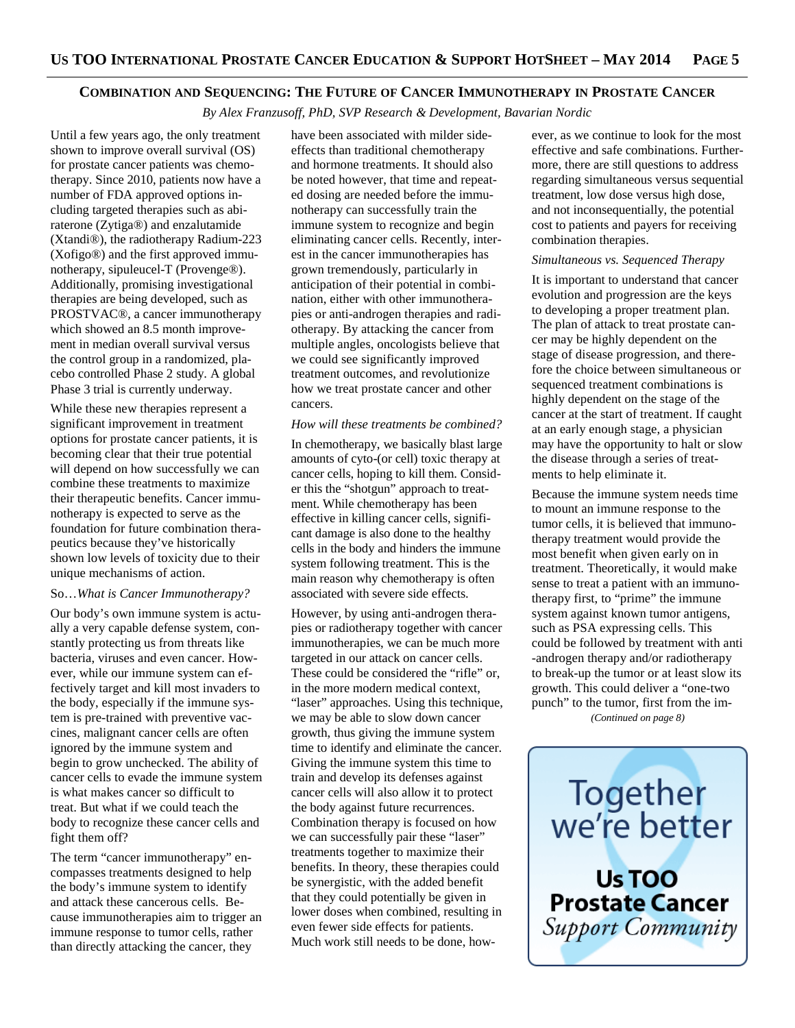## **COMBINATION AND SEQUENCING: THE FUTURE OF CANCER IMMUNOTHERAPY IN PROSTATE CANCER**

*By Alex Franzusoff, PhD, SVP Research & Development, Bavarian Nordic* 

Until a few years ago, the only treatment shown to improve overall survival (OS) for prostate cancer patients was chemotherapy. Since 2010, patients now have a number of FDA approved options including targeted therapies such as abiraterone (Zytiga®) and enzalutamide (Xtandi®), the radiotherapy Radium-223 (Xofigo®) and the first approved immunotherapy, sipuleucel-T (Provenge®). Additionally, promising investigational therapies are being developed, such as PROSTVAC®, a cancer immunotherapy which showed an 8.5 month improvement in median overall survival versus the control group in a randomized, placebo controlled Phase 2 study. A global Phase 3 trial is currently underway.

While these new therapies represent a significant improvement in treatment options for prostate cancer patients, it is becoming clear that their true potential will depend on how successfully we can combine these treatments to maximize their therapeutic benefits. Cancer immunotherapy is expected to serve as the foundation for future combination therapeutics because they've historically shown low levels of toxicity due to their unique mechanisms of action.

## So…*What is Cancer Immunotherapy?*

Our body's own immune system is actually a very capable defense system, constantly protecting us from threats like bacteria, viruses and even cancer. However, while our immune system can effectively target and kill most invaders to the body, especially if the immune system is pre-trained with preventive vaccines, malignant cancer cells are often ignored by the immune system and begin to grow unchecked. The ability of cancer cells to evade the immune system is what makes cancer so difficult to treat. But what if we could teach the body to recognize these cancer cells and fight them off?

The term "cancer immunotherapy" encompasses treatments designed to help the body's immune system to identify and attack these cancerous cells. Because immunotherapies aim to trigger an immune response to tumor cells, rather than directly attacking the cancer, they

have been associated with milder sideeffects than traditional chemotherapy and hormone treatments. It should also be noted however, that time and repeated dosing are needed before the immunotherapy can successfully train the immune system to recognize and begin eliminating cancer cells. Recently, interest in the cancer immunotherapies has grown tremendously, particularly in anticipation of their potential in combination, either with other immunotherapies or anti-androgen therapies and radiotherapy. By attacking the cancer from multiple angles, oncologists believe that we could see significantly improved treatment outcomes, and revolutionize how we treat prostate cancer and other cancers.

#### *How will these treatments be combined?*

In chemotherapy, we basically blast large amounts of cyto-(or cell) toxic therapy at cancer cells, hoping to kill them. Consider this the "shotgun" approach to treatment. While chemotherapy has been effective in killing cancer cells, significant damage is also done to the healthy cells in the body and hinders the immune system following treatment. This is the main reason why chemotherapy is often associated with severe side effects.

However, by using anti-androgen therapies or radiotherapy together with cancer immunotherapies, we can be much more targeted in our attack on cancer cells. These could be considered the "rifle" or, in the more modern medical context, "laser" approaches. Using this technique, we may be able to slow down cancer growth, thus giving the immune system time to identify and eliminate the cancer. Giving the immune system this time to train and develop its defenses against cancer cells will also allow it to protect the body against future recurrences. Combination therapy is focused on how we can successfully pair these "laser" treatments together to maximize their benefits. In theory, these therapies could be synergistic, with the added benefit that they could potentially be given in lower doses when combined, resulting in even fewer side effects for patients. Much work still needs to be done, however, as we continue to look for the most effective and safe combinations. Furthermore, there are still questions to address regarding simultaneous versus sequential treatment, low dose versus high dose, and not inconsequentially, the potential cost to patients and payers for receiving combination therapies.

## *Simultaneous vs. Sequenced Therapy*

It is important to understand that cancer evolution and progression are the keys to developing a proper treatment plan. The plan of attack to treat prostate cancer may be highly dependent on the stage of disease progression, and therefore the choice between simultaneous or sequenced treatment combinations is highly dependent on the stage of the cancer at the start of treatment. If caught at an early enough stage, a physician may have the opportunity to halt or slow the disease through a series of treatments to help eliminate it.

Because the immune system needs time to mount an immune response to the tumor cells, it is believed that immunotherapy treatment would provide the most benefit when given early on in treatment. Theoretically, it would make sense to treat a patient with an immunotherapy first, to "prime" the immune system against known tumor antigens, such as PSA expressing cells. This could be followed by treatment with anti -androgen therapy and/or radiotherapy to break-up the tumor or at least slow its growth. This could deliver a "one-two punch" to the tumor, first from the im-

*(Continued on page 8)* 

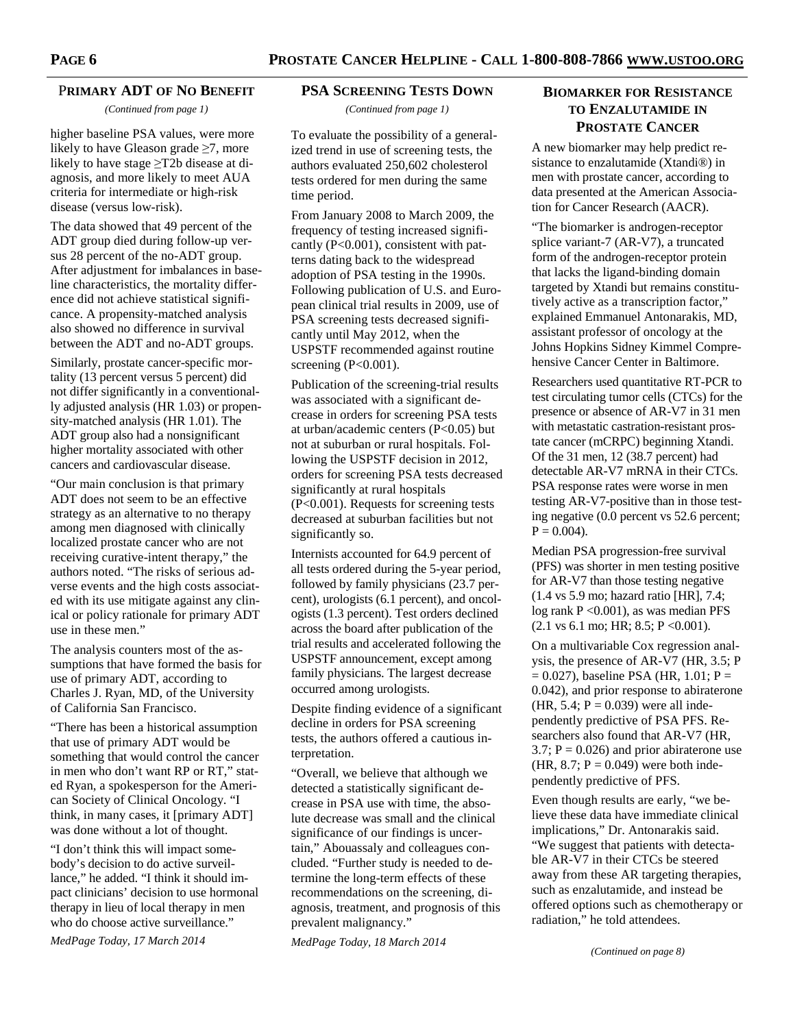## P**RIMARY ADT OF NO BENEFIT**

*(Continued from page 1)* 

higher baseline PSA values, were more likely to have Gleason grade  $\geq$ 7, more likely to have stage ≥T2b disease at diagnosis, and more likely to meet AUA criteria for intermediate or high-risk disease (versus low-risk).

The data showed that 49 percent of the ADT group died during follow-up versus 28 percent of the no-ADT group. After adjustment for imbalances in baseline characteristics, the mortality difference did not achieve statistical significance. A propensity-matched analysis also showed no difference in survival between the ADT and no-ADT groups.

Similarly, prostate cancer-specific mortality (13 percent versus 5 percent) did not differ significantly in a conventionally adjusted analysis (HR 1.03) or propensity-matched analysis (HR 1.01). The ADT group also had a nonsignificant higher mortality associated with other cancers and cardiovascular disease.

"Our main conclusion is that primary ADT does not seem to be an effective strategy as an alternative to no therapy among men diagnosed with clinically localized prostate cancer who are not receiving curative-intent therapy," the authors noted. "The risks of serious adverse events and the high costs associated with its use mitigate against any clinical or policy rationale for primary ADT use in these men."

The analysis counters most of the assumptions that have formed the basis for use of primary ADT, according to Charles J. Ryan, MD, of the University of California San Francisco.

"There has been a historical assumption that use of primary ADT would be something that would control the cancer in men who don't want RP or RT," stated Ryan, a spokesperson for the American Society of Clinical Oncology. "I think, in many cases, it [primary ADT] was done without a lot of thought.

"I don't think this will impact somebody's decision to do active surveillance," he added. "I think it should impact clinicians' decision to use hormonal therapy in lieu of local therapy in men who do choose active surveillance."

*MedPage Today, 17 March 2014* 

## **PSA SCREENING TESTS DOWN**

*(Continued from page 1)* 

To evaluate the possibility of a generalized trend in use of screening tests, the authors evaluated 250,602 cholesterol tests ordered for men during the same time period.

From January 2008 to March 2009, the frequency of testing increased significantly (P<0.001), consistent with patterns dating back to the widespread adoption of PSA testing in the 1990s. Following publication of U.S. and European clinical trial results in 2009, use of PSA screening tests decreased significantly until May 2012, when the USPSTF recommended against routine screening (P<0.001).

Publication of the screening-trial results was associated with a significant decrease in orders for screening PSA tests at urban/academic centers (P<0.05) but not at suburban or rural hospitals. Following the USPSTF decision in 2012, orders for screening PSA tests decreased significantly at rural hospitals (P<0.001). Requests for screening tests decreased at suburban facilities but not significantly so.

Internists accounted for 64.9 percent of all tests ordered during the 5-year period, followed by family physicians (23.7 percent), urologists (6.1 percent), and oncologists (1.3 percent). Test orders declined across the board after publication of the trial results and accelerated following the USPSTF announcement, except among family physicians. The largest decrease occurred among urologists.

Despite finding evidence of a significant decline in orders for PSA screening tests, the authors offered a cautious interpretation.

"Overall, we believe that although we detected a statistically significant decrease in PSA use with time, the absolute decrease was small and the clinical significance of our findings is uncertain," Abouassaly and colleagues concluded. "Further study is needed to determine the long-term effects of these recommendations on the screening, diagnosis, treatment, and prognosis of this prevalent malignancy."

*MedPage Today, 18 March 2014* 

# **BIOMARKER FOR RESISTANCE TO ENZALUTAMIDE IN PROSTATE CANCER**

A new biomarker may help predict resistance to enzalutamide (Xtandi®) in men with prostate cancer, according to data presented at the American Association for Cancer Research (AACR).

"The biomarker is androgen-receptor splice variant-7 (AR-V7), a truncated form of the androgen-receptor protein that lacks the ligand-binding domain targeted by Xtandi but remains constitutively active as a transcription factor," explained Emmanuel Antonarakis, MD, assistant professor of oncology at the Johns Hopkins Sidney Kimmel Comprehensive Cancer Center in Baltimore.

Researchers used quantitative RT-PCR to test circulating tumor cells (CTCs) for the presence or absence of AR-V7 in 31 men with metastatic castration-resistant prostate cancer (mCRPC) beginning Xtandi. Of the 31 men, 12 (38.7 percent) had detectable AR-V7 mRNA in their CTCs. PSA response rates were worse in men testing AR-V7-positive than in those testing negative (0.0 percent vs 52.6 percent;  $P = 0.004$ .

Median PSA progression-free survival (PFS) was shorter in men testing positive for AR-V7 than those testing negative (1.4 vs 5.9 mo; hazard ratio [HR], 7.4; log rank P < 0.001), as was median PFS  $(2.1 \text{ vs } 6.1 \text{ mo}; HR; 8.5; P < 0.001).$ 

On a multivariable Cox regression analysis, the presence of AR-V7 (HR, 3.5; P  $= 0.027$ ), baseline PSA (HR, 1.01; P = 0.042), and prior response to abiraterone (HR, 5.4;  $P = 0.039$ ) were all independently predictive of PSA PFS. Researchers also found that AR-V7 (HR,  $3.7$ ;  $P = 0.026$ ) and prior abiraterone use (HR,  $8.7$ ; P = 0.049) were both independently predictive of PFS.

Even though results are early, "we believe these data have immediate clinical implications," Dr. Antonarakis said. "We suggest that patients with detectable AR-V7 in their CTCs be steered away from these AR targeting therapies, such as enzalutamide, and instead be offered options such as chemotherapy or radiation," he told attendees.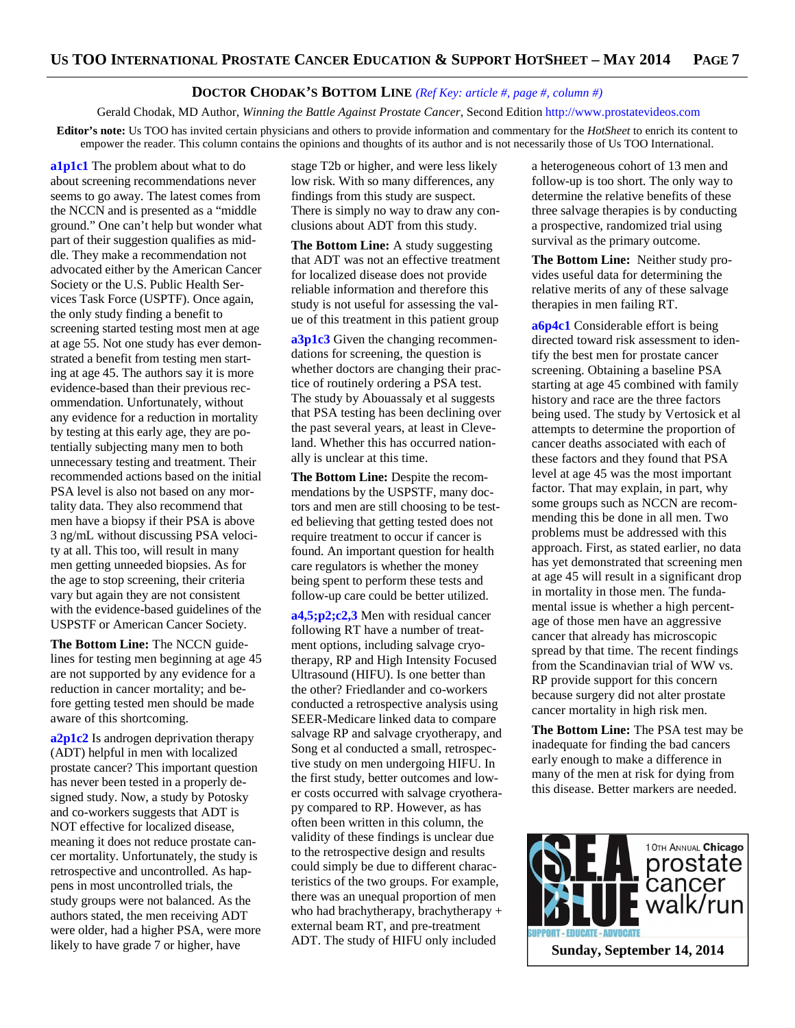# **DOCTOR CHODAK'S BOTTOM LINE** *(Ref Key: article #, page #, column #)*

Gerald Chodak, MD Author, *Winning the Battle Against Prostate Cancer*, Second Edition http://www.prostatevideos.com **Editor's note:** Us TOO has invited certain physicians and others to provide information and commentary for the *HotSheet* to enrich its content to empower the reader. This column contains the opinions and thoughts of its author and is not necessarily those of Us TOO International.

**a1p1c1** The problem about what to do about screening recommendations never seems to go away. The latest comes from the NCCN and is presented as a "middle ground." One can't help but wonder what part of their suggestion qualifies as middle. They make a recommendation not advocated either by the American Cancer Society or the U.S. Public Health Services Task Force (USPTF). Once again, the only study finding a benefit to screening started testing most men at age at age 55. Not one study has ever demonstrated a benefit from testing men starting at age 45. The authors say it is more evidence-based than their previous recommendation. Unfortunately, without any evidence for a reduction in mortality by testing at this early age, they are potentially subjecting many men to both unnecessary testing and treatment. Their recommended actions based on the initial PSA level is also not based on any mortality data. They also recommend that men have a biopsy if their PSA is above 3 ng/mL without discussing PSA velocity at all. This too, will result in many men getting unneeded biopsies. As for the age to stop screening, their criteria vary but again they are not consistent with the evidence-based guidelines of the USPSTF or American Cancer Society.

**The Bottom Line:** The NCCN guidelines for testing men beginning at age 45 are not supported by any evidence for a reduction in cancer mortality; and before getting tested men should be made aware of this shortcoming.

**a2p1c2** Is androgen deprivation therapy (ADT) helpful in men with localized prostate cancer? This important question has never been tested in a properly designed study. Now, a study by Potosky and co-workers suggests that ADT is NOT effective for localized disease, meaning it does not reduce prostate cancer mortality. Unfortunately, the study is retrospective and uncontrolled. As happens in most uncontrolled trials, the study groups were not balanced. As the authors stated, the men receiving ADT were older, had a higher PSA, were more likely to have grade 7 or higher, have

stage T2b or higher, and were less likely low risk. With so many differences, any findings from this study are suspect. There is simply no way to draw any conclusions about ADT from this study.

**The Bottom Line:** A study suggesting that ADT was not an effective treatment for localized disease does not provide reliable information and therefore this study is not useful for assessing the value of this treatment in this patient group

**a3p1c3** Given the changing recommendations for screening, the question is whether doctors are changing their practice of routinely ordering a PSA test. The study by Abouassaly et al suggests that PSA testing has been declining over the past several years, at least in Cleveland. Whether this has occurred nationally is unclear at this time.

**The Bottom Line:** Despite the recommendations by the USPSTF, many doctors and men are still choosing to be tested believing that getting tested does not require treatment to occur if cancer is found. An important question for health care regulators is whether the money being spent to perform these tests and follow-up care could be better utilized.

**a4,5;p2;c2,3** Men with residual cancer following RT have a number of treatment options, including salvage cryotherapy, RP and High Intensity Focused Ultrasound (HIFU). Is one better than the other? Friedlander and co-workers conducted a retrospective analysis using SEER-Medicare linked data to compare salvage RP and salvage cryotherapy, and Song et al conducted a small, retrospective study on men undergoing HIFU. In the first study, better outcomes and lower costs occurred with salvage cryotherapy compared to RP. However, as has often been written in this column, the validity of these findings is unclear due to the retrospective design and results could simply be due to different characteristics of the two groups. For example, there was an unequal proportion of men who had brachytherapy, brachytherapy + external beam RT, and pre-treatment ADT. The study of HIFU only included

a heterogeneous cohort of 13 men and follow-up is too short. The only way to determine the relative benefits of these three salvage therapies is by conducting a prospective, randomized trial using survival as the primary outcome.

**The Bottom Line:** Neither study provides useful data for determining the relative merits of any of these salvage therapies in men failing RT.

**a6p4c1** Considerable effort is being directed toward risk assessment to identify the best men for prostate cancer screening. Obtaining a baseline PSA starting at age 45 combined with family history and race are the three factors being used. The study by Vertosick et al attempts to determine the proportion of cancer deaths associated with each of these factors and they found that PSA level at age 45 was the most important factor. That may explain, in part, why some groups such as NCCN are recommending this be done in all men. Two problems must be addressed with this approach. First, as stated earlier, no data has yet demonstrated that screening men at age 45 will result in a significant drop in mortality in those men. The fundamental issue is whether a high percentage of those men have an aggressive cancer that already has microscopic spread by that time. The recent findings from the Scandinavian trial of WW vs. RP provide support for this concern because surgery did not alter prostate cancer mortality in high risk men.

**The Bottom Line:** The PSA test may be inadequate for finding the bad cancers early enough to make a difference in many of the men at risk for dying from this disease. Better markers are needed.